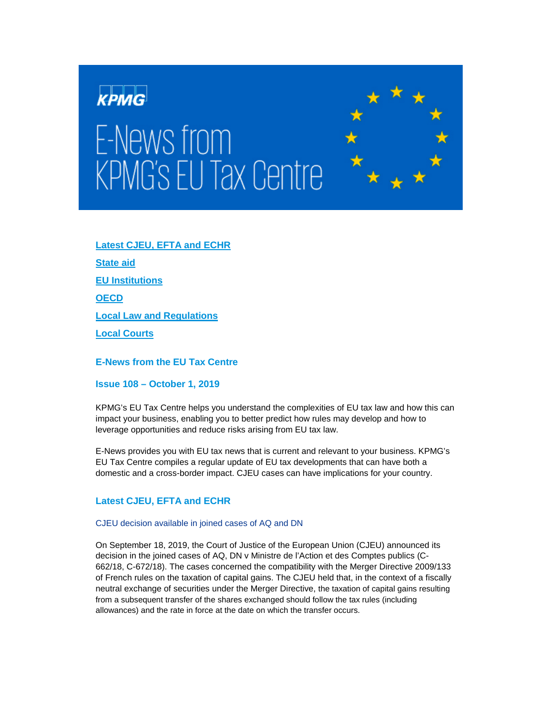

# E-News from KPMG's EU Tax Centre



# **[Latest CJEU, EFTA and ECHR](#page-0-0)**

**[State aid](#page-1-0)**

**[EU Institutions](#page-1-1)**

**[OECD](#page-2-0)**

**[Local Law and Regulations](#page-3-0)**

**[Local Courts](#page-6-0)**

**E-News from the EU Tax Centre** 

**Issue 108 – October 1, 2019**

KPMG's EU Tax Centre helps you understand the complexities of EU tax law and how this can impact your business, enabling you to better predict how rules may develop and how to leverage opportunities and reduce risks arising from EU tax law.

E-News provides you with EU tax news that is current and relevant to your business. KPMG's EU Tax Centre compiles a regular update of EU tax developments that can have both a domestic and a cross-border impact. CJEU cases can have implications for your country.

# <span id="page-0-0"></span>**Latest CJEU, EFTA and ECHR**

# CJEU decision available in joined cases of AQ and DN

On September 18, 2019, the Court of Justice of the European Union (CJEU) announced its decision in the joined cases of AQ, DN v Ministre de l'Action et des Comptes publics (C-662/18, C-672/18). The cases concerned the compatibility with the Merger Directive 2009/133 of French rules on the taxation of capital gains. The CJEU held that, in the context of a fiscally neutral exchange of securities under the Merger Directive, the taxation of capital gains resulting from a subsequent transfer of the shares exchanged should follow the tax rules (including allowances) and the rate in force at the date on which the transfer occurs.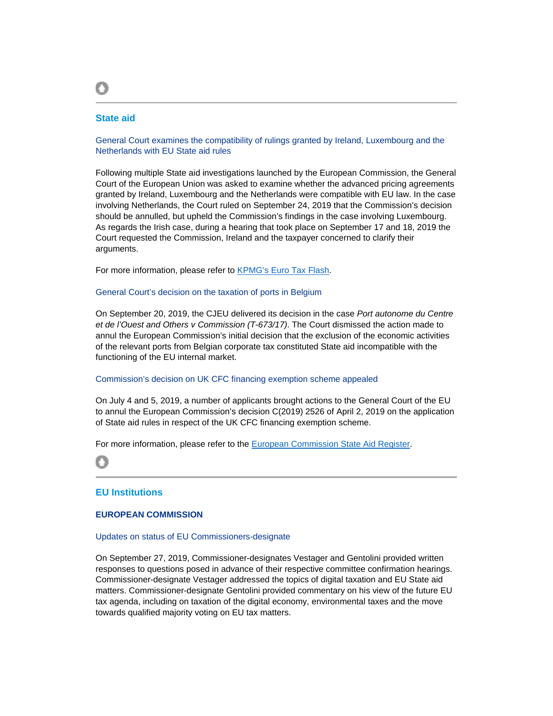# <span id="page-1-0"></span>**State aid**

O

General Court examines the compatibility of rulings granted by Ireland, Luxembourg and the Netherlands with EU State aid rules

Following multiple State aid investigations launched by the European Commission, the General Court of the European Union was asked to examine whether the advanced pricing agreements granted by Ireland, Luxembourg and the Netherlands were compatible with EU law. In the case involving Netherlands, the Court ruled on September 24, 2019 that the Commission's decision should be annulled, but upheld the Commission's findings in the case involving Luxembourg. As regards the Irish case, during a hearing that took place on September 17 and 18, 2019 the Court requested the Commission, Ireland and the taxpayer concerned to clarify their arguments.

For more information, please refer to [KPMG's Euro Tax Flash.](https://home.kpmg/xx/en/home/insights/2019/09/etf-412-general-court-examines-compatibility-of-rulings-granted-by-ireland-luxembourg-and-netherlands-with-eu-state-aid-rules.html)

### General Court's decision on the taxation of ports in Belgium

On September 20, 2019, the CJEU delivered its decision in the case *Port autonome du Centre et de l'Ouest and Others v Commission (T-673/17)*. The Court dismissed the action made to annul the European Commission's initial decision that the exclusion of the economic activities of the relevant ports from Belgian corporate tax constituted State aid incompatible with the functioning of the EU internal market.

### Commission's decision on UK CFC financing exemption scheme appealed

On July 4 and 5, 2019, a number of applicants brought actions to the General Court of the EU to annul the European Commission's decision C(2019) 2526 of April 2, 2019 on the application of State aid rules in respect of the UK CFC financing exemption scheme.

For more information, please refer to the [European Commission State Aid Register.](https://ec.europa.eu/competition/elojade/isef/case_details.cfm?proc_code=3_SA_44896)

Ο

# <span id="page-1-1"></span>**EU Institutions**

# **EUROPEAN COMMISSION**

### Updates on status of EU Commissioners-designate

On September 27, 2019, Commissioner-designates Vestager and Gentolini provided written responses to questions posed in advance of their respective committee confirmation hearings. Commissioner-designate Vestager addressed the topics of digital taxation and EU State aid matters. Commissioner-designate Gentolini provided commentary on his view of the future EU tax agenda, including on taxation of the digital economy, environmental taxes and the move towards qualified majority voting on EU tax matters.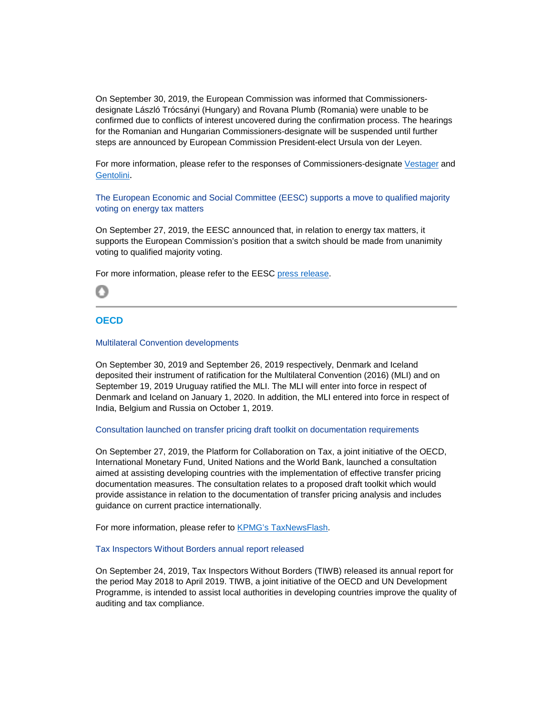On September 30, 2019, the European Commission was informed that Commissionersdesignate László Trócsányi (Hungary) and Rovana Plumb (Romania) were unable to be confirmed due to conflicts of interest uncovered during the confirmation process. The hearings for the Romanian and Hungarian Commissioners-designate will be suspended until further steps are announced by European Commission President-elect Ursula von der Leyen.

For more information, please refer to the responses of Commissioners-designate [Vestager](http://www.europarl.europa.eu/resources/library/media/20190927RES62423/20190927RES62423.pdf) and [Gentolini](http://www.europarl.europa.eu/resources/library/media/20190927RES62447/20190927RES62447.pdf).

The European Economic and Social Committee (EESC) supports a move to qualified majority voting on energy tax matters

On September 27, 2019, the EESC announced that, in relation to energy tax matters, it supports the European Commission's position that a switch should be made from unanimity voting to qualified majority voting.

For more information, please refer to the EESC [press release.](https://www.eesc.europa.eu/en/news-media/news/eesc-supports-move-qualified-majority-voting-energy-taxation)



# <span id="page-2-0"></span>**OECD**

### Multilateral Convention developments

On September 30, 2019 and September 26, 2019 respectively, Denmark and Iceland deposited their instrument of ratification for the Multilateral Convention (2016) (MLI) and on September 19, 2019 Uruguay ratified the MLI. The MLI will enter into force in respect of Denmark and Iceland on January 1, 2020. In addition, the MLI entered into force in respect of India, Belgium and Russia on October 1, 2019.

### Consultation launched on transfer pricing draft toolkit on documentation requirements

On September 27, 2019, the Platform for Collaboration on Tax, a joint initiative of the OECD, International Monetary Fund, United Nations and the World Bank, launched a consultation aimed at assisting developing countries with the implementation of effective transfer pricing documentation measures. The consultation relates to a proposed draft toolkit which would provide assistance in relation to the documentation of transfer pricing analysis and includes guidance on current practice internationally.

For more information, please refer to [KPMG's TaxNewsFlash.](https://home.kpmg/us/en/home/insights/2019/09/tnf-oecd-developing-country-implementation-of-transfer-pricing-documentation-rules-comments-requested-on-draft-toolkit.html)

### Tax Inspectors Without Borders annual report released

On September 24, 2019, Tax Inspectors Without Borders (TIWB) released its annual report for the period May 2018 to April 2019. TIWB, a joint initiative of the OECD and UN Development Programme, is intended to assist local authorities in developing countries improve the quality of auditing and tax compliance.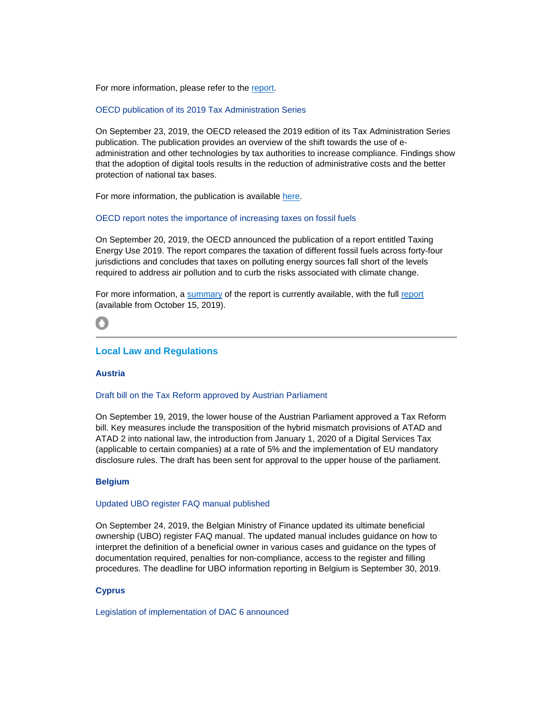For more information, please refer to the [report.](http://www.tiwb.org/resources/reports-case-studies/tax-inspectors-without-borders-annual-report-2018-2019-web.pdf)

OECD publication of its 2019 Tax Administration Series

On September 23, 2019, the OECD released the 2019 edition of its Tax Administration Series publication. The publication provides an overview of the shift towards the use of eadministration and other technologies by tax authorities to increase compliance. Findings show that the adoption of digital tools results in the reduction of administrative costs and the better protection of national tax bases.

For more information, the publication is available [here.](https://read.oecd-ilibrary.org/taxation/tax-administration-2019_74d162b6-en#page2)

OECD report notes the importance of increasing taxes on fossil fuels

On September 20, 2019, the OECD announced the publication of a report entitled Taxing Energy Use 2019. The report compares the taxation of different fossil fuels across forty-four jurisdictions and concludes that taxes on polluting energy sources fall short of the levels required to address air pollution and to curb the risks associated with climate change.

For more information, a [summary](https://www.oecd.org/tax/tax-policy/brochure-taxing-energy-use-2019.pdf) of the [report](https://www.oecd.org/tax/taxing-energy-use-efde7a25-en.htm) is currently available, with the full report (available from October 15, 2019).

# <span id="page-3-0"></span>**Local Law and Regulations**

# **Austria**

### Draft bill on the Tax Reform approved by Austrian Parliament

On September 19, 2019, the lower house of the Austrian Parliament approved a Tax Reform bill. Key measures include the transposition of the hybrid mismatch provisions of ATAD and ATAD 2 into national law, the introduction from January 1, 2020 of a Digital Services Tax (applicable to certain companies) at a rate of 5% and the implementation of EU mandatory disclosure rules. The draft has been sent for approval to the upper house of the parliament.

# **Belgium**

### Updated UBO register FAQ manual published

On September 24, 2019, the Belgian Ministry of Finance updated its ultimate beneficial ownership (UBO) register FAQ manual. The updated manual includes guidance on how to interpret the definition of a beneficial owner in various cases and guidance on the types of documentation required, penalties for non-compliance, access to the register and filling procedures. The deadline for UBO information reporting in Belgium is September 30, 2019.

# **Cyprus**

Legislation of implementation of DAC 6 announced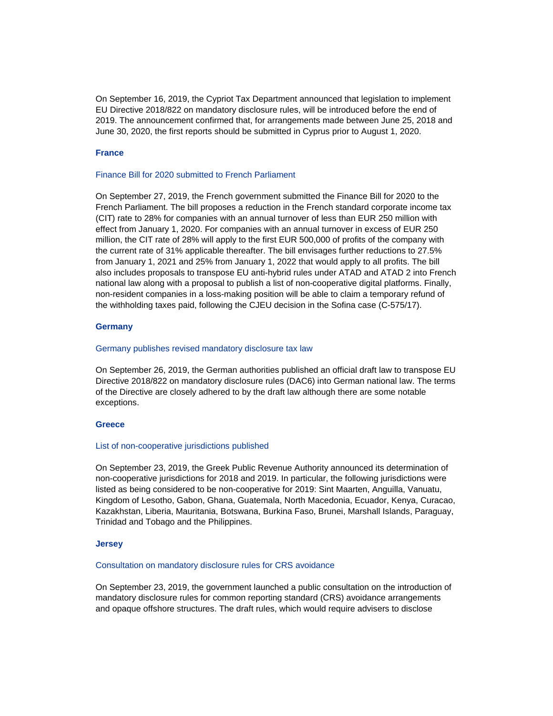On September 16, 2019, the Cypriot Tax Department announced that legislation to implement EU Directive 2018/822 on mandatory disclosure rules, will be introduced before the end of 2019. The announcement confirmed that, for arrangements made between June 25, 2018 and June 30, 2020, the first reports should be submitted in Cyprus prior to August 1, 2020.

### **France**

# Finance Bill for 2020 submitted to French Parliament

On September 27, 2019, the French government submitted the Finance Bill for 2020 to the French Parliament. The bill proposes a reduction in the French standard corporate income tax (CIT) rate to 28% for companies with an annual turnover of less than EUR 250 million with effect from January 1, 2020. For companies with an annual turnover in excess of EUR 250 million, the CIT rate of 28% will apply to the first EUR 500,000 of profits of the company with the current rate of 31% applicable thereafter. The bill envisages further reductions to 27.5% from January 1, 2021 and 25% from January 1, 2022 that would apply to all profits. The bill also includes proposals to transpose EU anti-hybrid rules under ATAD and ATAD 2 into French national law along with a proposal to publish a list of non-cooperative digital platforms. Finally, non-resident companies in a loss-making position will be able to claim a temporary refund of the withholding taxes paid, following the CJEU decision in the Sofina case (C-575/17).

# **Germany**

### Germany publishes revised mandatory disclosure tax law

On September 26, 2019, the German authorities published an official draft law to transpose EU Directive 2018/822 on mandatory disclosure rules (DAC6) into German national law. The terms of the Directive are closely adhered to by the draft law although there are some notable exceptions.

### **Greece**

### List of non-cooperative jurisdictions published

On September 23, 2019, the Greek Public Revenue Authority announced its determination of non-cooperative jurisdictions for 2018 and 2019. In particular, the following jurisdictions were listed as being considered to be non-cooperative for 2019: Sint Maarten, Anguilla, Vanuatu, Kingdom of Lesotho, Gabon, Ghana, Guatemala, North Macedonia, Ecuador, Kenya, Curacao, Kazakhstan, Liberia, Mauritania, Botswana, Burkina Faso, Brunei, Marshall Islands, Paraguay, Trinidad and Tobago and the Philippines.

### **Jersey**

### Consultation on mandatory disclosure rules for CRS avoidance

On September 23, 2019, the government launched a public consultation on the introduction of mandatory disclosure rules for common reporting standard (CRS) avoidance arrangements and opaque offshore structures. The draft rules, which would require advisers to disclose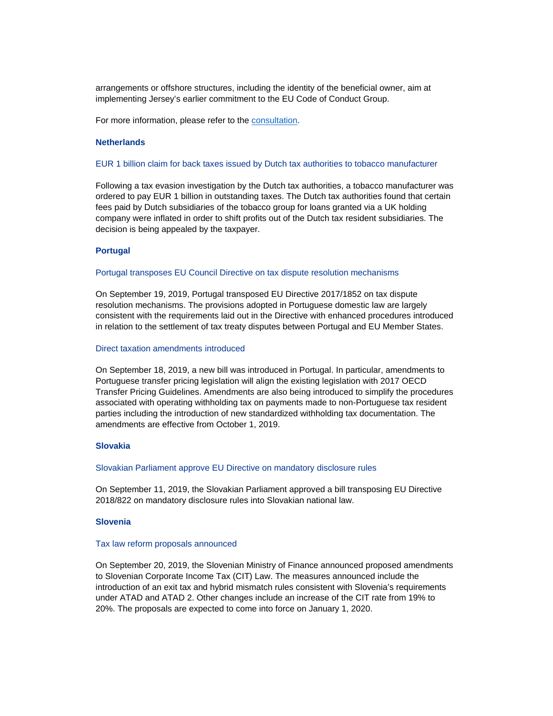arrangements or offshore structures, including the identity of the beneficial owner, aim at implementing Jersey's earlier commitment to the EU Code of Conduct Group.

For more information, please refer to the [consultation.](https://www.gov.je/Government/Consultations/Pages/MandatoryDisclosureRules.aspx)

# **Netherlands**

### EUR 1 billion claim for back taxes issued by Dutch tax authorities to tobacco manufacturer

Following a tax evasion investigation by the Dutch tax authorities, a tobacco manufacturer was ordered to pay EUR 1 billion in outstanding taxes. The Dutch tax authorities found that certain fees paid by Dutch subsidiaries of the tobacco group for loans granted via a UK holding company were inflated in order to shift profits out of the Dutch tax resident subsidiaries. The decision is being appealed by the taxpayer.

### **Portugal**

### Portugal transposes EU Council Directive on tax dispute resolution mechanisms

On September 19, 2019, Portugal transposed EU Directive 2017/1852 on tax dispute resolution mechanisms. The provisions adopted in Portuguese domestic law are largely consistent with the requirements laid out in the Directive with enhanced procedures introduced in relation to the settlement of tax treaty disputes between Portugal and EU Member States.

### Direct taxation amendments introduced

On September 18, 2019, a new bill was introduced in Portugal. In particular, amendments to Portuguese transfer pricing legislation will align the existing legislation with 2017 OECD Transfer Pricing Guidelines. Amendments are also being introduced to simplify the procedures associated with operating withholding tax on payments made to non-Portuguese tax resident parties including the introduction of new standardized withholding tax documentation. The amendments are effective from October 1, 2019.

### **Slovakia**

### Slovakian Parliament approve EU Directive on mandatory disclosure rules

On September 11, 2019, the Slovakian Parliament approved a bill transposing EU Directive 2018/822 on mandatory disclosure rules into Slovakian national law.

# **Slovenia**

### Tax law reform proposals announced

On September 20, 2019, the Slovenian Ministry of Finance announced proposed amendments to Slovenian Corporate Income Tax (CIT) Law. The measures announced include the introduction of an exit tax and hybrid mismatch rules consistent with Slovenia's requirements under ATAD and ATAD 2. Other changes include an increase of the CIT rate from 19% to 20%. The proposals are expected to come into force on January 1, 2020.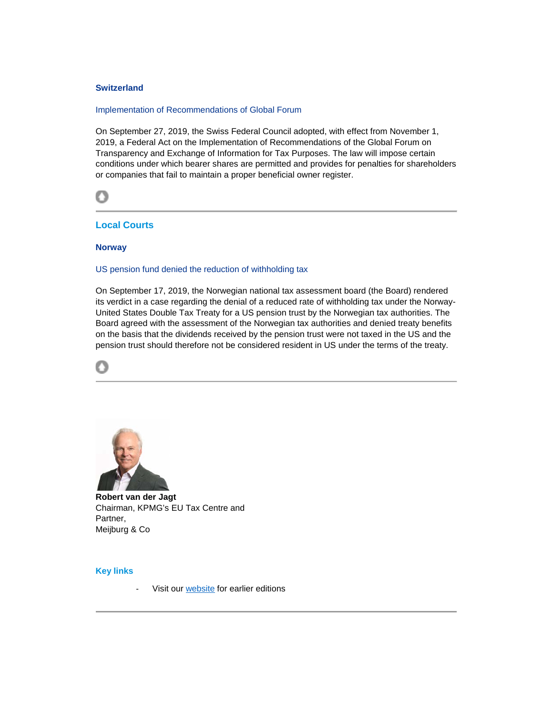# **Switzerland**

### Implementation of Recommendations of Global Forum

On September 27, 2019, the Swiss Federal Council adopted, with effect from November 1, 2019, a Federal Act on the Implementation of Recommendations of the Global Forum on Transparency and Exchange of Information for Tax Purposes. The law will impose certain conditions under which bearer shares are permitted and provides for penalties for shareholders or companies that fail to maintain a proper beneficial owner register.



# <span id="page-6-0"></span>**Local Courts**

# **Norway**

# US pension fund denied the reduction of withholding tax

On September 17, 2019, the Norwegian national tax assessment board (the Board) rendered its verdict in a case regarding the denial of a reduced rate of withholding tax under the Norway-United States Double Tax Treaty for a US pension trust by the Norwegian tax authorities. The Board agreed with the assessment of the Norwegian tax authorities and denied treaty benefits on the basis that the dividends received by the pension trust were not taxed in the US and the pension trust should therefore not be considered resident in US under the terms of the treaty.





**Robert van der Jagt** Chairman, KPMG's EU Tax Centre and Partner, Meijburg & Co

## **Key links**

Visit our [website](https://home.kpmg.com/xx/en/home/services/tax/regional-tax-centers/eu-tax-centre/eu-e-news.html) for earlier editions